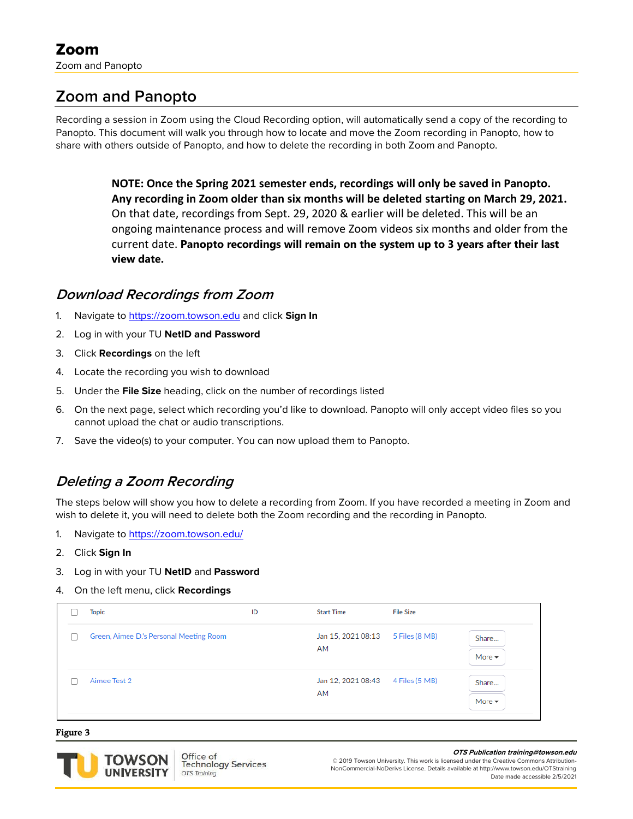# **Zoom and Panopto**

Recording a session in Zoom using the Cloud Recording option, will automatically send a copy of the recording to Panopto. This document will walk you through how to locate and move the Zoom recording in Panopto, how to share with others outside of Panopto, and how to delete the recording in both Zoom and Panopto.

> **NOTE: Once the Spring 2021 semester ends, recordings will only be saved in Panopto. Any recording in Zoom older than six months will be deleted starting on March 29, 2021.**  On that date, recordings from Sept. 29, 2020 & earlier will be deleted. This will be an ongoing maintenance process and will remove Zoom videos six months and older from the current date. **Panopto recordings will remain on the system up to 3 years after their last view date.**

# **Download Recordings from Zoom**

- 1. Navigate to [https://zoom.towson.edu](https://zoom.towson.edu/) and click **Sign In**
- 2. Log in with your TU **NetID and Password**
- 3. Click **Recordings** on the left
- 4. Locate the recording you wish to download
- 5. Under the **File Size** heading, click on the number of recordings listed
- 6. On the next page, select which recording you'd like to download. Panopto will only accept video files so you cannot upload the chat or audio transcriptions.
- 7. Save the video(s) to your computer. You can now upload them to Panopto.

# **Deleting a Zoom Recording**

The steps below will show you how to delete a recording from Zoom. If you have recorded a meeting in Zoom and wish to delete it, you will need to delete both the Zoom recording and the recording in Panopto.

- 1. Navigate to<https://zoom.towson.edu/>
- 2. Click **Sign In**
- 3. Log in with your TU **NetID** and **Password**
- 4. On the left menu, click **Recordings**

|   | <b>Topic</b>                            | ID | <b>Start Time</b>        | <b>File Size</b>                                      |
|---|-----------------------------------------|----|--------------------------|-------------------------------------------------------|
| O | Green, Aimee D.'s Personal Meeting Room |    | Jan 15, 2021 08:13<br>AM | 5 Files (8 MB)<br>Share<br>More $\blacktriangleright$ |
|   | Aimee Test 2                            |    | Jan 12, 2021 08:43<br>AM | 4 Files (5 MB)<br>Share<br>More $\sim$                |

#### **Figure 3**



#### **OTS Publication training@towson.edu**

© 2019 Towson University. This work is licensed under the Creative Commons Attribution-NonCommercial-NoDerivs License. Details available at http://www.towson.edu/OTStraining Date made accessible 2/5/2021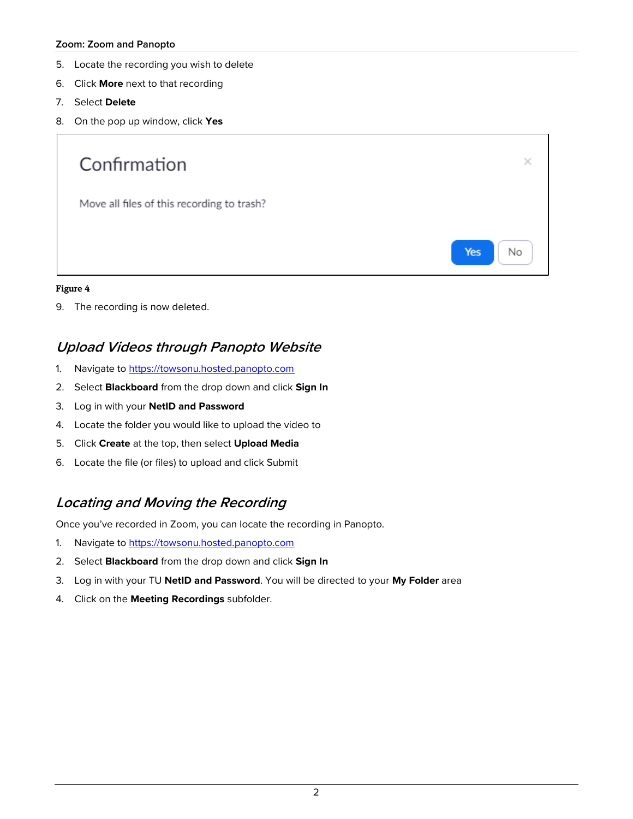### **Zoom: Zoom and Panopto**

- 5. Locate the recording you wish to delete
- 6. Click **More** next to that recording
- 7. Select **Delete**
- 8. On the pop up window, click **Yes**



### **Figure 4**

9. The recording is now deleted.

### **Upload Videos through Panopto Website**

- 1. Navigate to [https://towsonu.hosted.panopto.com](https://towsonu.hosted.panopto.com/)
- 2. Select **Blackboard** from the drop down and click **Sign In**
- 3. Log in with your **NetID and Password**
- 4. Locate the folder you would like to upload the video to
- 5. Click **Create** at the top, then select **Upload Media**
- 6. Locate the file (or files) to upload and click Submit

# **Locating and Moving the Recording**

Once you've recorded in Zoom, you can locate the recording in Panopto.

- 1. Navigate to [https://towsonu.hosted.panopto.com](https://towsonu.hosted.panopto.com/)
- 2. Select **Blackboard** from the drop down and click **Sign In**
- 3. Log in with your TU **NetID and Password**. You will be directed to your **My Folder** area
- 4. Click on the **Meeting Recordings** subfolder.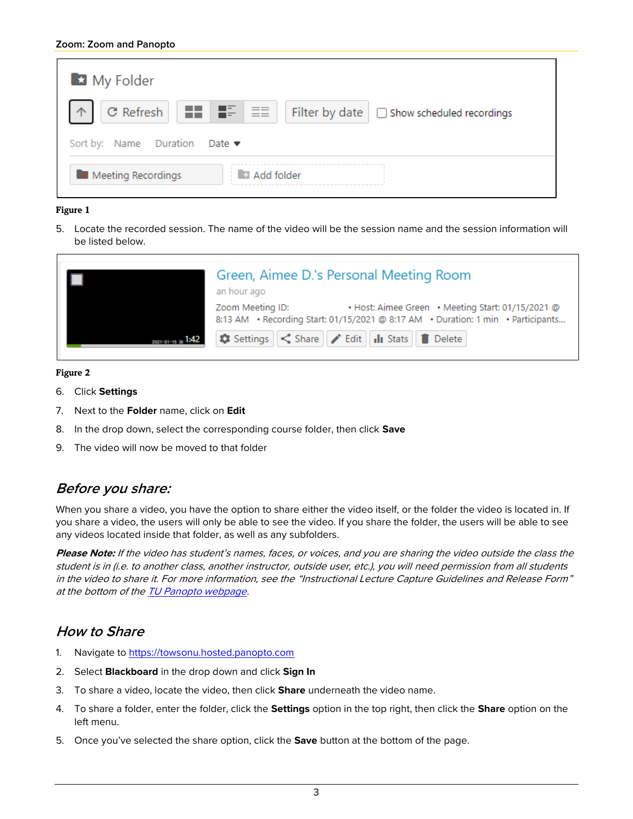| My Folder                                                                                                                                                                                                                                                  |                                                 |  |  |  |  |
|------------------------------------------------------------------------------------------------------------------------------------------------------------------------------------------------------------------------------------------------------------|-------------------------------------------------|--|--|--|--|
| $\begin{array}{ c c c c c }\n\hline\n\end{array}$ Refresh $\begin{array}{ c c c c c }\n\hline\n\end{array}$ $\begin{array}{ c c c }\n\hline\n\end{array}$ $\begin{array}{ c c c }\n\hline\n\end{array}$ $\begin{array}{ c c c }\n\hline\n\end{array}$<br>个 | Filter by date $\Box$ Show scheduled recordings |  |  |  |  |
| Sort by: Name Duration Date ▼                                                                                                                                                                                                                              |                                                 |  |  |  |  |
| Meeting Recordings                                                                                                                                                                                                                                         | Add folder                                      |  |  |  |  |

### **Figure 1**

5. Locate the recorded session. The name of the video will be the session name and the session information will be listed below.

|                    | Green, Aimee D.'s Personal Meeting Room<br>an hour ago |                                                                                                                                       |  |
|--------------------|--------------------------------------------------------|---------------------------------------------------------------------------------------------------------------------------------------|--|
|                    | Zoom Meeting ID:                                       | • Host: Aimee Green • Meeting Start: 01/15/2021 @<br>8:13 AM · Recording Start: 01/15/2021 @ 8:17 AM · Duration: 1 min · Participants |  |
| 2021-01-15 or 1:42 |                                                        | Settings < Share   / Edit   11 Stats   Delete                                                                                         |  |

### **Figure 2**

- 6. Click **Settings**
- 7. Next to the **Folder** name, click on **Edit**
- 8. In the drop down, select the corresponding course folder, then click **Save**
- 9. The video will now be moved to that folder

# **Before you share:**

When you share a video, you have the option to share either the video itself, or the folder the video is located in. If you share a video, the users will only be able to see the video. If you share the folder, the users will be able to see any videos located inside that folder, as well as any subfolders.

**Please Note:** If the video has student's names, faces, or voices, and you are sharing the video outside the class the student is in (i.e. to another class, another instructor, outside user, etc.), you will need permission from all students in the video to share it. For more information, see the "Instructional Lecture Capture Guidelines and Release Form" at the bottom of th[e TU Panopto webpage.](http://www.towson.edu/panopto)

# **How to Share**

- 1. Navigate to [https://towsonu.hosted.panopto.com](https://towsonu.hosted.panopto.com/)
- 2. Select **Blackboard** in the drop down and click **Sign In**
- 3. To share a video, locate the video, then click **Share** underneath the video name.
- 4. To share a folder, enter the folder, click the **Settings** option in the top right, then click the **Share** option on the left menu.
- 5. Once you've selected the share option, click the **Save** button at the bottom of the page.